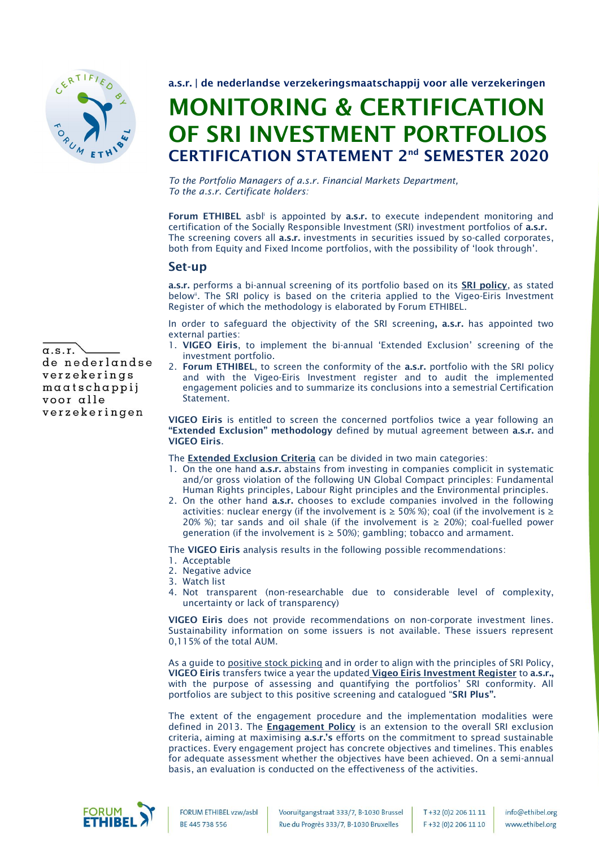

a.s.r. | de nederlandse verzekeringsmaatschappij voor alle verzekeringen

# MONITORING & CERTIFICATION OF SRI INVESTMENT PORTFOLIOS CERTIFICATION STATEMENT 2<sup>nd</sup> SEMESTER 2020

*To the Portfolio Managers of a.s.r. Financial Markets Department, To the a.s.r. Certificate holders:*

Forum ETHIBEL asb<sup>i</sup> is appointed by a.s.r. to execute independent monitoring and certification of the Socially Responsible Investment (SRI) investment portfolios of a.s.r. The screening covers all a.s.r. investments in securities issued by so-called corporates, both from Equity and Fixed Income portfolios, with the possibility of 'look through'.

## Set-up

a.s.r. performs a bi-annual screening of its portfolio based on its SRI policy, as stated below<sup>ii</sup>. The SRI policy is based on the criteria applied to the Vigeo-Eiris Investment Register of which the methodology is elaborated by Forum ETHIBEL.

In order to safeguard the objectivity of the SRI screening, a.s.r. has appointed two external parties:

- 1. VIGEO Eiris, to implement the bi-annual 'Extended Exclusion' screening of the investment portfolio.
- 2. Forum ETHIBEL, to screen the conformity of the a.s.r. portfolio with the SRI policy and with the Vigeo-Eiris Investment register and to audit the implemented engagement policies and to summarize its conclusions into a semestrial Certification Statement.

VIGEO Eiris is entitled to screen the concerned portfolios twice a year following an "Extended Exclusion" methodology defined by mutual agreement between a.s.r. and VIGEO Eiris.

The **Extended Exclusion Criteria** can be divided in two main categories:

- 1. On the one hand a.s.r. abstains from investing in companies complicit in systematic and/or gross violation of the following UN Global Compact principles: Fundamental Human Rights principles, Labour Right principles and the Environmental principles.
- 2. On the other hand a.s.r. chooses to exclude companies involved in the following activities: nuclear energy (if the involvement is  $\geq$  50% %); coal (if the involvement is  $\geq$ 20% %); tar sands and oil shale (if the involvement is  $\geq$  20%); coal-fuelled power generation (if the involvement is  $\geq$  50%); gambling; tobacco and armament.

The VIGEO Eiris analysis results in the following possible recommendations:

#### 1. Acceptable

- 2. Negative advice
- 3. Watch list
- 4. Not transparent (non-researchable due to considerable level of complexity, uncertainty or lack of transparency)

VIGEO Eiris does not provide recommendations on non-corporate investment lines. Sustainability information on some issuers is not available. These issuers represent 0,115% of the total AUM.

As a guide to positive stock picking and in order to align with the principles of SRI Policy, VIGEO Eiris transfers twice a year the updated Vigeo Eiris Investment Register to a.s.r., with the purpose of assessing and quantifying the portfolios' SRI conformity. All portfolios are subject to this positive screening and catalogued "SRI Plus".

The extent of the engagement procedure and the implementation modalities were defined in 2013. The **Engagement Policy** is an extension to the overall SRI exclusion criteria, aiming at maximising a.s.r.'s efforts on the commitment to spread sustainable practices. Every engagement project has concrete objectives and timelines. This enables for adequate assessment whether the objectives have been achieved. On a semi-annual basis, an evaluation is conducted on the effectiveness of the activities.

 $\alpha$ .s.r. de nederlandse verzekerings  $maxatschappij$ voor alle verzekeringen